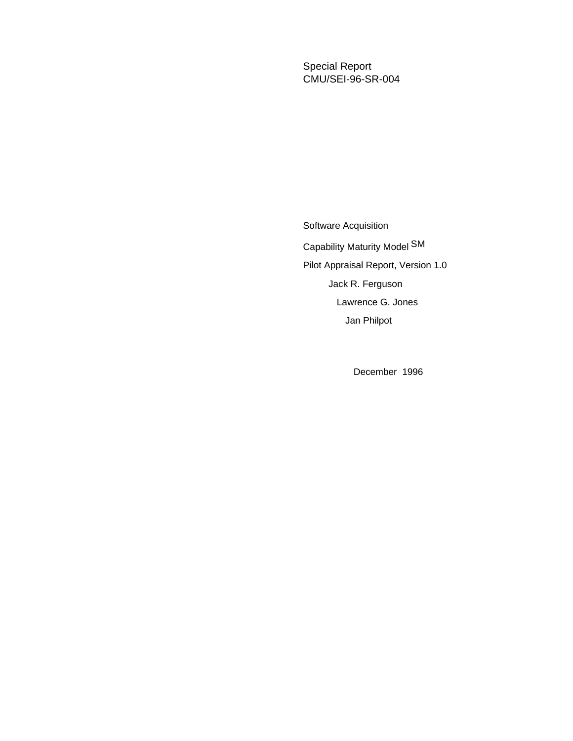Special Report CMU/SEI-96-SR-004

Software Acquisition Capability Maturity Model SM Pilot Appraisal Report, Version 1.0 Jack R. Ferguson Lawrence G. Jones Jan Philpot

December 1996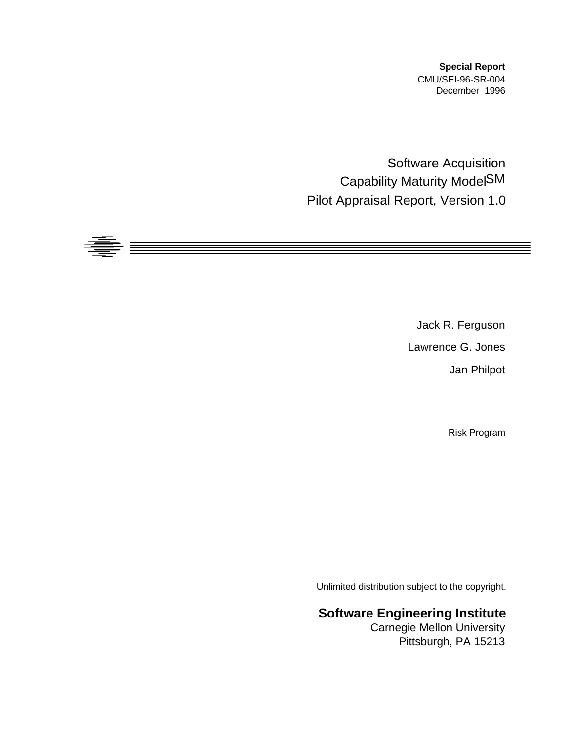**Special Report** CMU/SEI-96-SR-004 December 1996

Software Acquisition Capability Maturity ModelSM Pilot Appraisal Report, Version 1.0

> Jack R. Ferguson Lawrence G. Jones Jan Philpot

> > Risk Program

Unlimited distribution subject to the copyright.

### **Software Engineering Institute**

Carnegie Mellon University Pittsburgh, PA 15213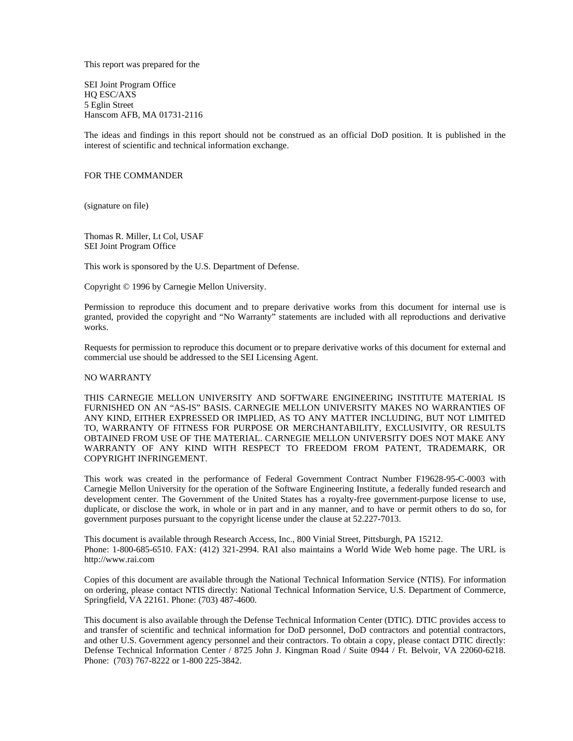This report was prepared for the

SEI Joint Program Office HQ ESC/AXS 5 Eglin Street Hanscom AFB, MA 01731-2116

The ideas and findings in this report should not be construed as an official DoD position. It is published in the interest of scientific and technical information exchange.

#### FOR THE COMMANDER

(signature on file)

Thomas R. Miller, Lt Col, USAF SEI Joint Program Office

This work is sponsored by the U.S. Department of Defense.

Copyright © 1996 by Carnegie Mellon University.

Permission to reproduce this document and to prepare derivative works from this document for internal use is granted, provided the copyright and "No Warranty" statements are included with all reproductions and derivative works.

Requests for permission to reproduce this document or to prepare derivative works of this document for external and commercial use should be addressed to the SEI Licensing Agent.

#### NO WARRANTY

THIS CARNEGIE MELLON UNIVERSITY AND SOFTWARE ENGINEERING INSTITUTE MATERIAL IS FURNISHED ON AN "AS-IS" BASIS. CARNEGIE MELLON UNIVERSITY MAKES NO WARRANTIES OF ANY KIND, EITHER EXPRESSED OR IMPLIED, AS TO ANY MATTER INCLUDING, BUT NOT LIMITED TO, WARRANTY OF FITNESS FOR PURPOSE OR MERCHANTABILITY, EXCLUSIVITY, OR RESULTS OBTAINED FROM USE OF THE MATERIAL. CARNEGIE MELLON UNIVERSITY DOES NOT MAKE ANY WARRANTY OF ANY KIND WITH RESPECT TO FREEDOM FROM PATENT, TRADEMARK, OR COPYRIGHT INFRINGEMENT.

This work was created in the performance of Federal Government Contract Number F19628-95-C-0003 with Carnegie Mellon University for the operation of the Software Engineering Institute, a federally funded research and development center. The Government of the United States has a royalty-free government-purpose license to use, duplicate, or disclose the work, in whole or in part and in any manner, and to have or permit others to do so, for government purposes pursuant to the copyright license under the clause at 52.227-7013.

This document is available through Research Access, Inc., 800 Vinial Street, Pittsburgh, PA 15212. Phone: 1-800-685-6510. FAX: (412) 321-2994. RAI also maintains a World Wide Web home page. The URL is http://www.rai.com

Copies of this document are available through the National Technical Information Service (NTIS). For information on ordering, please contact NTIS directly: National Technical Information Service, U.S. Department of Commerce, Springfield, VA 22161. Phone: (703) 487-4600.

This document is also available through the Defense Technical Information Center (DTIC). DTIC provides access to and transfer of scientific and technical information for DoD personnel, DoD contractors and potential contractors, and other U.S. Government agency personnel and their contractors. To obtain a copy, please contact DTIC directly: Defense Technical Information Center / 8725 John J. Kingman Road / Suite 0944 / Ft. Belvoir, VA 22060-6218. Phone: (703) 767-8222 or 1-800 225-3842.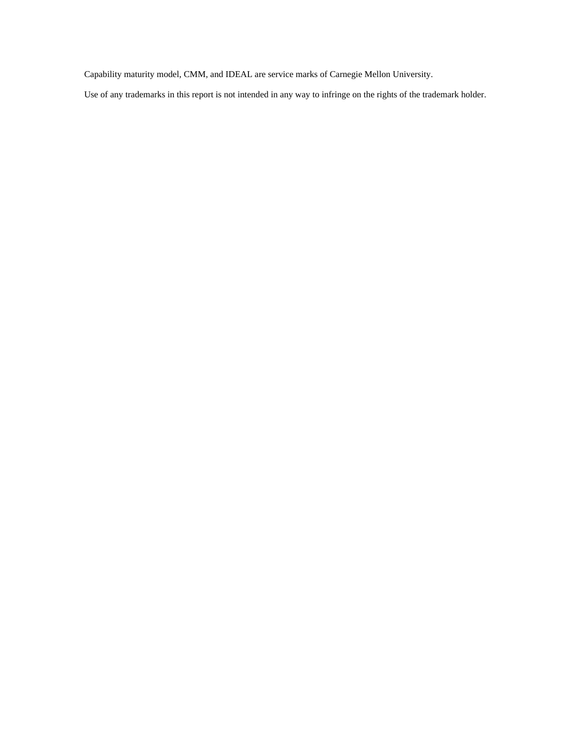Capability maturity model, CMM, and IDEAL are service marks of Carnegie Mellon University.

Use of any trademarks in this report is not intended in any way to infringe on the rights of the trademark holder.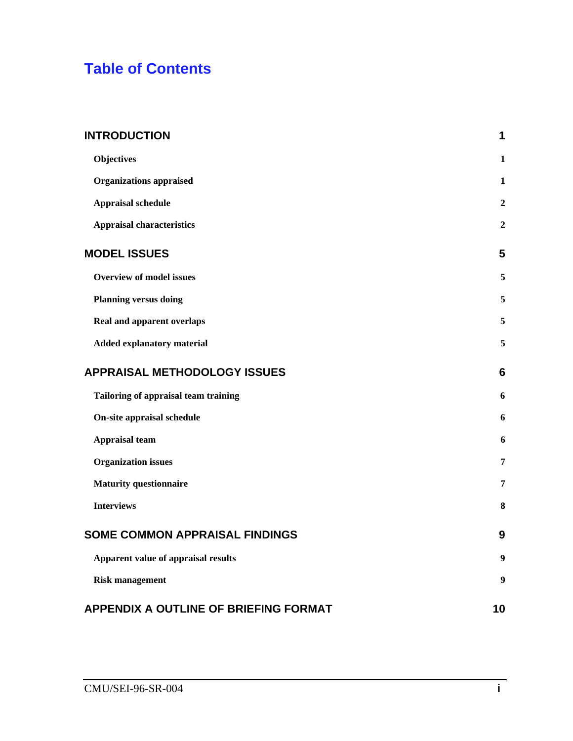### **Table of Contents**

| <b>INTRODUCTION</b>                          | $\mathbf 1$      |
|----------------------------------------------|------------------|
| <b>Objectives</b>                            | $\mathbf{1}$     |
| <b>Organizations appraised</b>               | $\mathbf{1}$     |
| <b>Appraisal schedule</b>                    | $\boldsymbol{2}$ |
| <b>Appraisal characteristics</b>             | $\overline{2}$   |
| <b>MODEL ISSUES</b>                          | 5                |
| <b>Overview of model issues</b>              | 5                |
| <b>Planning versus doing</b>                 | 5                |
| <b>Real and apparent overlaps</b>            | 5                |
| <b>Added explanatory material</b>            | 5                |
| <b>APPRAISAL METHODOLOGY ISSUES</b>          | $6\phantom{1}6$  |
| Tailoring of appraisal team training         | 6                |
| On-site appraisal schedule                   | 6                |
| Appraisal team                               | 6                |
| <b>Organization issues</b>                   | 7                |
| <b>Maturity questionnaire</b>                | $\overline{7}$   |
| <b>Interviews</b>                            | $\bf{8}$         |
| <b>SOME COMMON APPRAISAL FINDINGS</b>        | 9                |
| Apparent value of appraisal results          | $\boldsymbol{9}$ |
| <b>Risk management</b>                       | 9                |
| <b>APPENDIX A OUTLINE OF BRIEFING FORMAT</b> | 10               |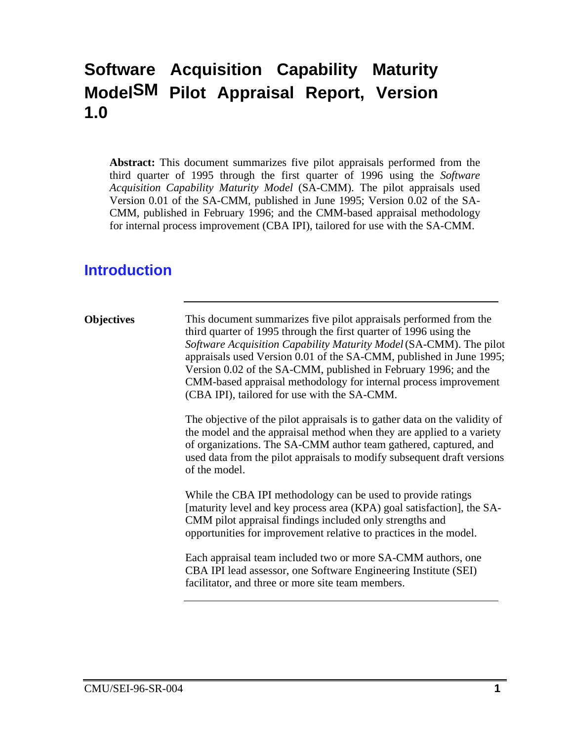### **Software Acquisition Capability Maturity ModelSM Pilot Appraisal Report, Version 1.0**

**Abstract:** This document summarizes five pilot appraisals performed from the third quarter of 1995 through the first quarter of 1996 using the *Software Acquisition Capability Maturity Model* (SA-CMM). The pilot appraisals used Version 0.01 of the SA-CMM, published in June 1995; Version 0.02 of the SA-CMM, published in February 1996; and the CMM-based appraisal methodology for internal process improvement (CBA IPI), tailored for use with the SA-CMM.

### **Introduction**

**Objectives** This document summarizes five pilot appraisals performed from the third quarter of 1995 through the first quarter of 1996 using the *Software Acquisition Capability Maturity Model*(SA-CMM). The pilot appraisals used Version 0.01 of the SA-CMM, published in June 1995; Version 0.02 of the SA-CMM, published in February 1996; and the CMM-based appraisal methodology for internal process improvement (CBA IPI), tailored for use with the SA-CMM.

> The objective of the pilot appraisals is to gather data on the validity of the model and the appraisal method when they are applied to a variety of organizations. The SA-CMM author team gathered, captured, and used data from the pilot appraisals to modify subsequent draft versions of the model.

While the CBA IPI methodology can be used to provide ratings [maturity level and key process area (KPA) goal satisfaction], the SA-CMM pilot appraisal findings included only strengths and opportunities for improvement relative to practices in the model.

Each appraisal team included two or more SA-CMM authors, one CBA IPI lead assessor, one Software Engineering Institute (SEI) facilitator, and three or more site team members.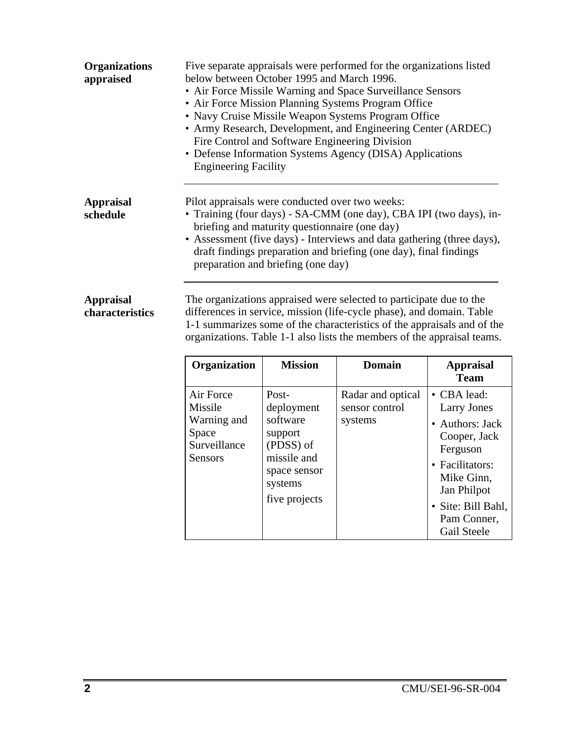| <b>Organizations</b><br>appraised   | below between October 1995 and March 1996.<br><b>Engineering Facility</b>                                                                                                                                                                                                                                                                                   |                | Five separate appraisals were performed for the organizations listed<br>• Air Force Missile Warning and Space Surveillance Sensors<br>• Air Force Mission Planning Systems Program Office<br>• Navy Cruise Missile Weapon Systems Program Office<br>• Army Research, Development, and Engineering Center (ARDEC)<br>Fire Control and Software Engineering Division<br>• Defense Information Systems Agency (DISA) Applications |                                 |
|-------------------------------------|-------------------------------------------------------------------------------------------------------------------------------------------------------------------------------------------------------------------------------------------------------------------------------------------------------------------------------------------------------------|----------------|--------------------------------------------------------------------------------------------------------------------------------------------------------------------------------------------------------------------------------------------------------------------------------------------------------------------------------------------------------------------------------------------------------------------------------|---------------------------------|
| <b>Appraisal</b><br>schedule        | Pilot appraisals were conducted over two weeks:<br>• Training (four days) - SA-CMM (one day), CBA IPI (two days), in-<br>briefing and maturity questionnaire (one day)<br>• Assessment (five days) - Interviews and data gathering (three days),<br>draft findings preparation and briefing (one day), final findings<br>preparation and briefing (one day) |                |                                                                                                                                                                                                                                                                                                                                                                                                                                |                                 |
| <b>Appraisal</b><br>characteristics | The organizations appraised were selected to participate due to the<br>differences in service, mission (life-cycle phase), and domain. Table<br>1-1 summarizes some of the characteristics of the appraisals and of the<br>organizations. Table 1-1 also lists the members of the appraisal teams.                                                          |                |                                                                                                                                                                                                                                                                                                                                                                                                                                |                                 |
|                                     | Organization                                                                                                                                                                                                                                                                                                                                                | <b>Mission</b> | <b>Domain</b>                                                                                                                                                                                                                                                                                                                                                                                                                  | <b>Appraisal</b><br><b>Team</b> |

| <b>Organization</b>                                                     | Mission                                                                                                            | Domain                                         | Appraisal<br><b>Team</b>                                                                                                                                                      |
|-------------------------------------------------------------------------|--------------------------------------------------------------------------------------------------------------------|------------------------------------------------|-------------------------------------------------------------------------------------------------------------------------------------------------------------------------------|
| Air Force<br>Missile<br>Warning and<br>Space<br>Surveillance<br>Sensors | Post-<br>deployment<br>software<br>support<br>(PDSS) of<br>missile and<br>space sensor<br>systems<br>five projects | Radar and optical<br>sensor control<br>systems | • CBA lead:<br>Larry Jones<br>• Authors: Jack<br>Cooper, Jack<br>Ferguson<br>• Facilitators:<br>Mike Ginn,<br>Jan Philpot<br>• Site: Bill Bahl,<br>Pam Conner,<br>Gail Steele |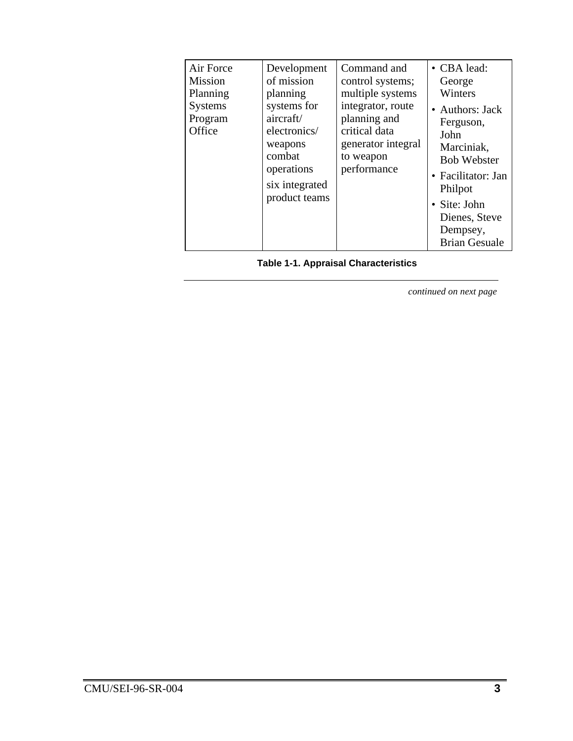| Air Force<br><b>Mission</b><br>Planning<br><b>Systems</b><br>Program<br>Office | Development<br>of mission<br>planning<br>systems for<br>aircraft/<br>electronics/<br>weapons<br>combat<br>operations<br>six integrated<br>product teams | Command and<br>control systems;<br>multiple systems<br>integrator, route<br>planning and<br>critical data<br>generator integral<br>to weapon<br>performance | • CBA lead:<br>George<br>Winters<br>• Authors: Jack<br>Ferguson,<br>John<br>Marciniak,<br><b>Bob Webster</b><br>• Facilitator: Jan<br>Philpot<br>• Site: John<br>Dienes, Steve<br>Dempsey,<br><b>Brian Gesuale</b> |
|--------------------------------------------------------------------------------|---------------------------------------------------------------------------------------------------------------------------------------------------------|-------------------------------------------------------------------------------------------------------------------------------------------------------------|--------------------------------------------------------------------------------------------------------------------------------------------------------------------------------------------------------------------|
|--------------------------------------------------------------------------------|---------------------------------------------------------------------------------------------------------------------------------------------------------|-------------------------------------------------------------------------------------------------------------------------------------------------------------|--------------------------------------------------------------------------------------------------------------------------------------------------------------------------------------------------------------------|

**Table 1-1. Appraisal Characteristics**

*continued on next page*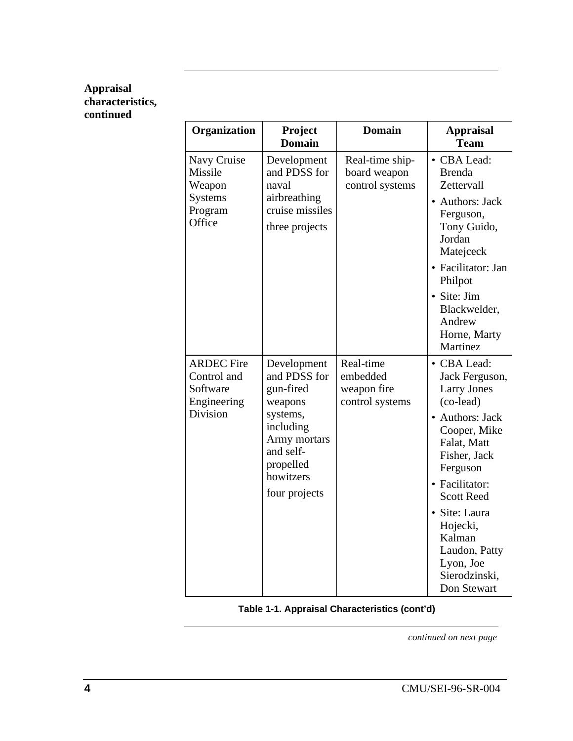#### **Appraisal characteristics, continued**

| Organization                                                | Project<br><b>Domain</b>                                                     | <b>Domain</b>                                           | <b>Appraisal</b><br><b>Team</b>                                                                   |
|-------------------------------------------------------------|------------------------------------------------------------------------------|---------------------------------------------------------|---------------------------------------------------------------------------------------------------|
| Navy Cruise<br>Missile<br>Weapon                            | Development<br>and PDSS for<br>naval                                         | Real-time ship-<br>board weapon<br>control systems      | • CBA Lead:<br><b>Brenda</b><br>Zettervall                                                        |
| <b>Systems</b><br>Program<br>Office                         | airbreathing<br>cruise missiles<br>three projects                            |                                                         | <b>Authors: Jack</b><br>Ferguson,<br>Tony Guido,<br>Jordan<br>Matejceck                           |
|                                                             |                                                                              |                                                         | • Facilitator: Jan<br>Philpot                                                                     |
|                                                             |                                                                              |                                                         | • Site: Jim<br>Blackwelder,<br>Andrew<br>Horne, Marty<br>Martinez                                 |
| <b>ARDEC</b> Fire<br>Control and<br>Software<br>Engineering | Development<br>and PDSS for<br>gun-fired<br>weapons                          | Real-time<br>embedded<br>weapon fire<br>control systems | • CBA Lead:<br>Jack Ferguson,<br><b>Larry Jones</b><br>(co-lead)                                  |
| Division                                                    | systems,<br>including<br>Army mortars<br>and self-<br>propelled<br>howitzers |                                                         | <b>Authors: Jack</b><br>Cooper, Mike<br>Falat, Matt<br>Fisher, Jack<br>Ferguson                   |
|                                                             | four projects                                                                |                                                         | • Facilitator:<br><b>Scott Reed</b>                                                               |
|                                                             |                                                                              |                                                         | · Site: Laura<br>Hojecki,<br>Kalman<br>Laudon, Patty<br>Lyon, Joe<br>Sierodzinski,<br>Don Stewart |

**Table 1-1. Appraisal Characteristics (cont'd)**

*continued on next page*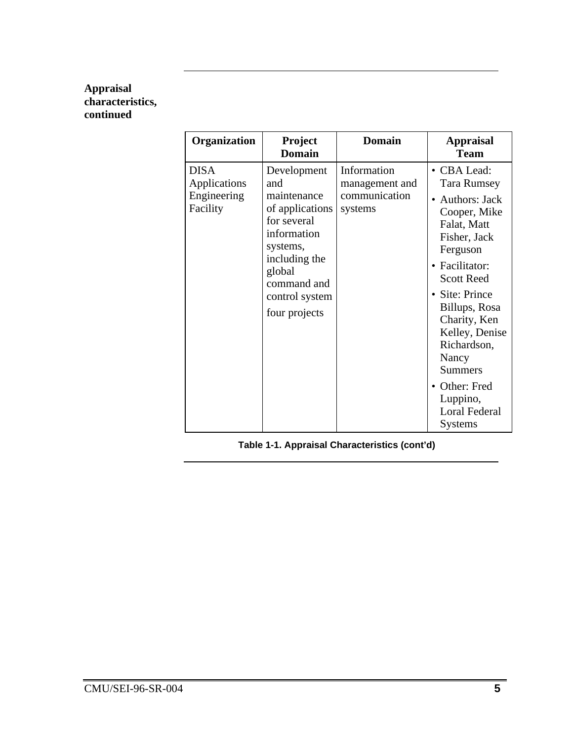### **Appraisal characteristics, continued**

| Organization                                           | Project<br><b>Domain</b>                                                                                                                                                    | <b>Domain</b>                                             | <b>Appraisal</b><br><b>Team</b>                                                                                                                                                                                                                                                                                                          |
|--------------------------------------------------------|-----------------------------------------------------------------------------------------------------------------------------------------------------------------------------|-----------------------------------------------------------|------------------------------------------------------------------------------------------------------------------------------------------------------------------------------------------------------------------------------------------------------------------------------------------------------------------------------------------|
| <b>DISA</b><br>Applications<br>Engineering<br>Facility | Development<br>and<br>maintenance<br>of applications<br>for several<br>information<br>systems,<br>including the<br>global<br>command and<br>control system<br>four projects | Information<br>management and<br>communication<br>systems | • CBA Lead:<br>Tara Rumsey<br><b>Authors: Jack</b><br>Cooper, Mike<br>Falat, Matt<br>Fisher, Jack<br>Ferguson<br>• Facilitator:<br><b>Scott Reed</b><br>• Site: Prince<br>Billups, Rosa<br>Charity, Ken<br>Kelley, Denise<br>Richardson,<br>Nancy<br><b>Summers</b><br>Other: Fred<br>Luppino,<br><b>Loral Federal</b><br><b>Systems</b> |

**Table 1-1. Appraisal Characteristics (cont'd)**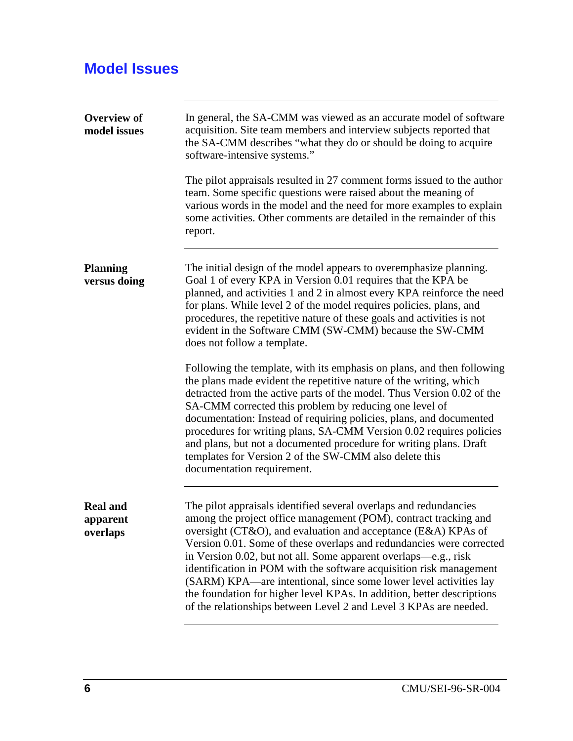### **Model Issues**

| <b>Overview of</b><br>model issues      | In general, the SA-CMM was viewed as an accurate model of software<br>acquisition. Site team members and interview subjects reported that<br>the SA-CMM describes "what they do or should be doing to acquire<br>software-intensive systems."                                                                                                                                                                                                                                                                                                                                                                                                |
|-----------------------------------------|----------------------------------------------------------------------------------------------------------------------------------------------------------------------------------------------------------------------------------------------------------------------------------------------------------------------------------------------------------------------------------------------------------------------------------------------------------------------------------------------------------------------------------------------------------------------------------------------------------------------------------------------|
|                                         | The pilot appraisals resulted in 27 comment forms issued to the author<br>team. Some specific questions were raised about the meaning of<br>various words in the model and the need for more examples to explain<br>some activities. Other comments are detailed in the remainder of this<br>report.                                                                                                                                                                                                                                                                                                                                         |
| <b>Planning</b><br>versus doing         | The initial design of the model appears to overemphasize planning.<br>Goal 1 of every KPA in Version 0.01 requires that the KPA be<br>planned, and activities 1 and 2 in almost every KPA reinforce the need<br>for plans. While level 2 of the model requires policies, plans, and<br>procedures, the repetitive nature of these goals and activities is not<br>evident in the Software CMM (SW-CMM) because the SW-CMM<br>does not follow a template.                                                                                                                                                                                      |
|                                         | Following the template, with its emphasis on plans, and then following<br>the plans made evident the repetitive nature of the writing, which<br>detracted from the active parts of the model. Thus Version 0.02 of the<br>SA-CMM corrected this problem by reducing one level of<br>documentation: Instead of requiring policies, plans, and documented<br>procedures for writing plans, SA-CMM Version 0.02 requires policies<br>and plans, but not a documented procedure for writing plans. Draft<br>templates for Version 2 of the SW-CMM also delete this<br>documentation requirement.                                                 |
| <b>Real and</b><br>apparent<br>overlaps | The pilot appraisals identified several overlaps and redundancies<br>among the project office management (POM), contract tracking and<br>oversight (CT&O), and evaluation and acceptance (E&A) KPAs of<br>Version 0.01. Some of these overlaps and redundancies were corrected<br>in Version 0.02, but not all. Some apparent overlaps—e.g., risk<br>identification in POM with the software acquisition risk management<br>(SARM) KPA—are intentional, since some lower level activities lay<br>the foundation for higher level KPAs. In addition, better descriptions<br>of the relationships between Level 2 and Level 3 KPAs are needed. |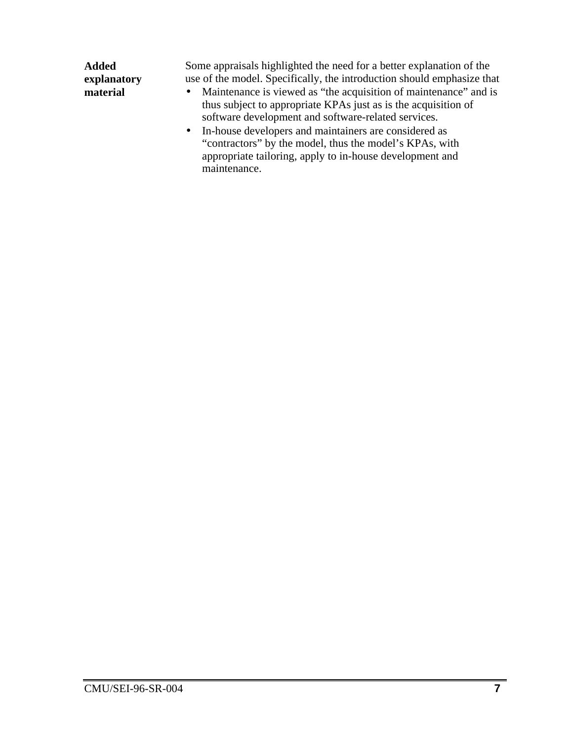**Added explanatory material**

Some appraisals highlighted the need for a better explanation of the use of the model. Specifically, the introduction should emphasize that

- Maintenance is viewed as "the acquisition of maintenance" and is thus subject to appropriate KPAs just as is the acquisition of software development and software-related services.
- In-house developers and maintainers are considered as "contractors" by the model, thus the model's KPAs, with appropriate tailoring, apply to in-house development and maintenance.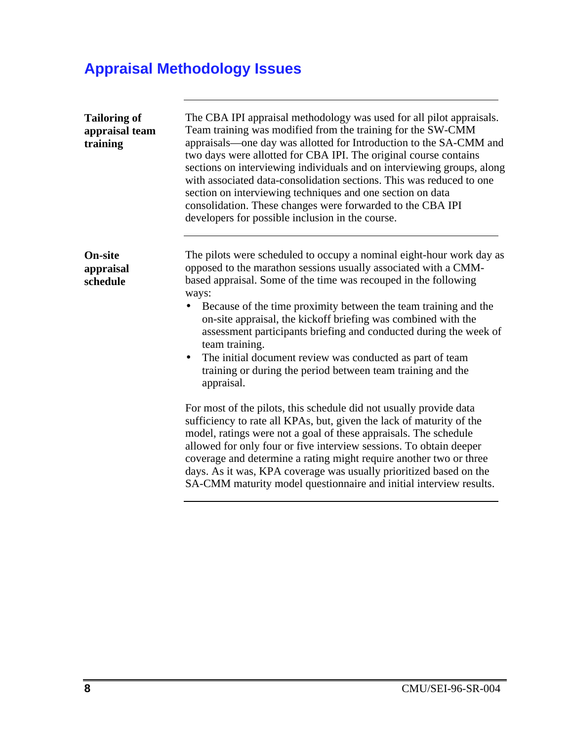# **Appraisal Methodology Issues**

| <b>Tailoring of</b><br>appraisal team<br>training | The CBA IPI appraisal methodology was used for all pilot appraisals.<br>Team training was modified from the training for the SW-CMM<br>appraisals—one day was allotted for Introduction to the SA-CMM and<br>two days were allotted for CBA IPI. The original course contains<br>sections on interviewing individuals and on interviewing groups, along<br>with associated data-consolidation sections. This was reduced to one<br>section on interviewing techniques and one section on data<br>consolidation. These changes were forwarded to the CBA IPI<br>developers for possible inclusion in the course.    |
|---------------------------------------------------|--------------------------------------------------------------------------------------------------------------------------------------------------------------------------------------------------------------------------------------------------------------------------------------------------------------------------------------------------------------------------------------------------------------------------------------------------------------------------------------------------------------------------------------------------------------------------------------------------------------------|
| On-site<br>appraisal<br>schedule                  | The pilots were scheduled to occupy a nominal eight-hour work day as<br>opposed to the marathon sessions usually associated with a CMM-<br>based appraisal. Some of the time was recouped in the following<br>ways:<br>Because of the time proximity between the team training and the<br>$\bullet$<br>on-site appraisal, the kickoff briefing was combined with the<br>assessment participants briefing and conducted during the week of<br>team training.<br>The initial document review was conducted as part of team<br>$\bullet$<br>training or during the period between team training and the<br>appraisal. |
|                                                   | For most of the pilots, this schedule did not usually provide data<br>sufficiency to rate all KPAs, but, given the lack of maturity of the<br>model, ratings were not a goal of these appraisals. The schedule<br>allowed for only four or five interview sessions. To obtain deeper<br>coverage and determine a rating might require another two or three<br>days. As it was, KPA coverage was usually prioritized based on the<br>SA-CMM maturity model questionnaire and initial interview results.                                                                                                             |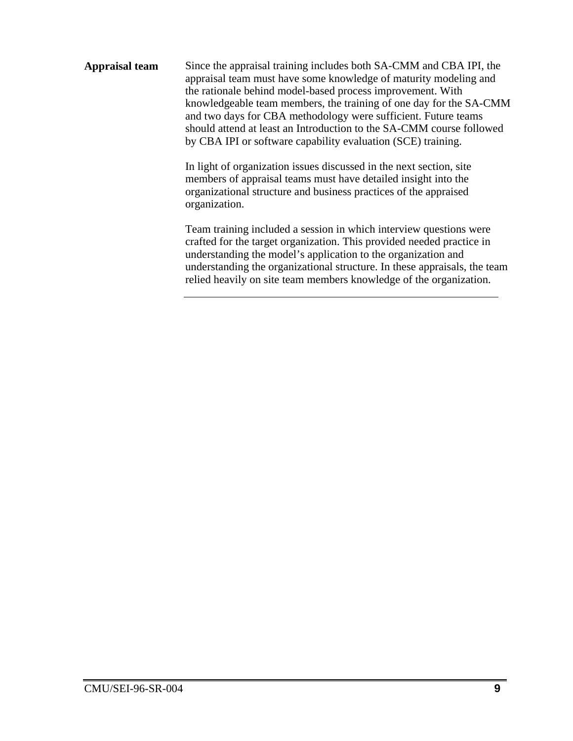**Appraisal team** Since the appraisal training includes both SA-CMM and CBA IPI, the appraisal team must have some knowledge of maturity modeling and the rationale behind model-based process improvement. With knowledgeable team members, the training of one day for the SA-CMM and two days for CBA methodology were sufficient. Future teams should attend at least an Introduction to the SA-CMM course followed by CBA IPI or software capability evaluation (SCE) training.

> In light of organization issues discussed in the next section, site members of appraisal teams must have detailed insight into the organizational structure and business practices of the appraised organization.

Team training included a session in which interview questions were crafted for the target organization. This provided needed practice in understanding the model's application to the organization and understanding the organizational structure. In these appraisals, the team relied heavily on site team members knowledge of the organization.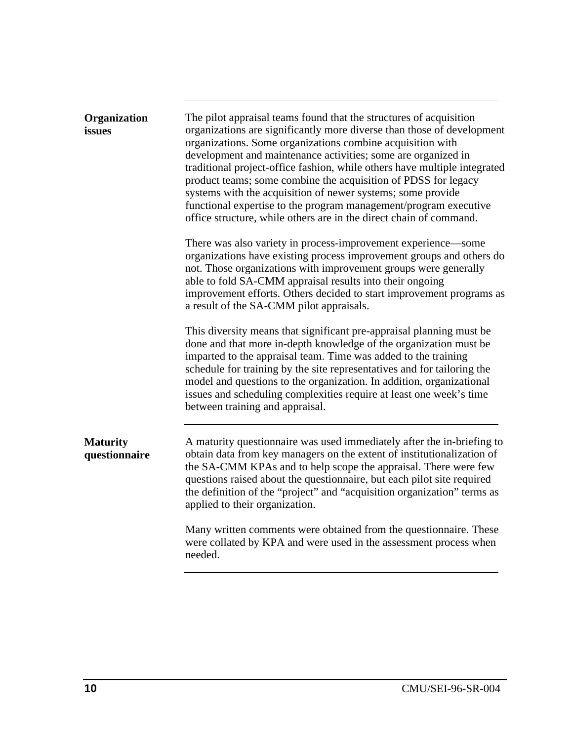| Organization<br>issues           | The pilot appraisal teams found that the structures of acquisition<br>organizations are significantly more diverse than those of development<br>organizations. Some organizations combine acquisition with<br>development and maintenance activities; some are organized in<br>traditional project-office fashion, while others have multiple integrated<br>product teams; some combine the acquisition of PDSS for legacy<br>systems with the acquisition of newer systems; some provide<br>functional expertise to the program management/program executive<br>office structure, while others are in the direct chain of command. |
|----------------------------------|-------------------------------------------------------------------------------------------------------------------------------------------------------------------------------------------------------------------------------------------------------------------------------------------------------------------------------------------------------------------------------------------------------------------------------------------------------------------------------------------------------------------------------------------------------------------------------------------------------------------------------------|
|                                  | There was also variety in process-improvement experience—some<br>organizations have existing process improvement groups and others do<br>not. Those organizations with improvement groups were generally<br>able to fold SA-CMM appraisal results into their ongoing<br>improvement efforts. Others decided to start improvement programs as<br>a result of the SA-CMM pilot appraisals.                                                                                                                                                                                                                                            |
|                                  | This diversity means that significant pre-appraisal planning must be<br>done and that more in-depth knowledge of the organization must be<br>imparted to the appraisal team. Time was added to the training<br>schedule for training by the site representatives and for tailoring the<br>model and questions to the organization. In addition, organizational<br>issues and scheduling complexities require at least one week's time<br>between training and appraisal.                                                                                                                                                            |
| <b>Maturity</b><br>questionnaire | A maturity questionnaire was used immediately after the in-briefing to<br>obtain data from key managers on the extent of institutionalization of<br>the SA-CMM KPAs and to help scope the appraisal. There were few<br>questions raised about the questionnaire, but each pilot site required<br>the definition of the "project" and "acquisition organization" terms as<br>applied to their organization.                                                                                                                                                                                                                          |
|                                  | Many written comments were obtained from the questionnaire. These<br>were collated by KPA and were used in the assessment process when<br>needed.                                                                                                                                                                                                                                                                                                                                                                                                                                                                                   |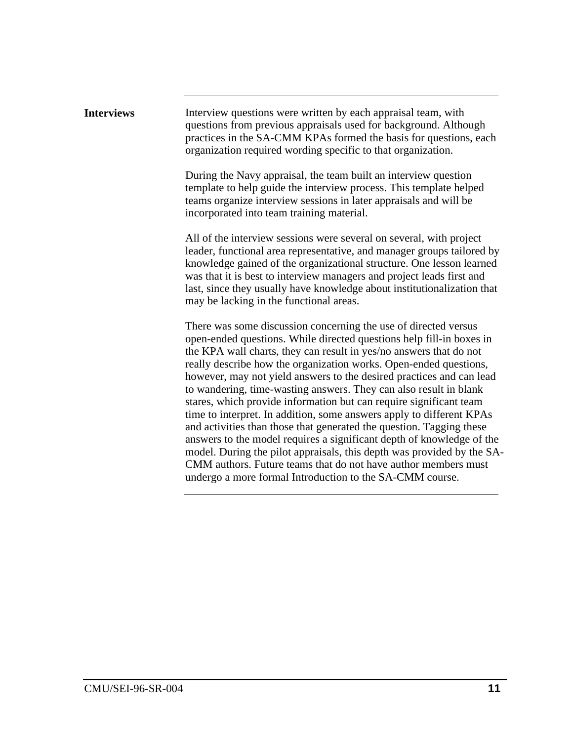| <b>Interviews</b> | Interview questions were written by each appraisal team, with<br>questions from previous appraisals used for background. Although<br>practices in the SA-CMM KPAs formed the basis for questions, each<br>organization required wording specific to that organization.                                                                                                                                                                                                                                                                                                                                                                                                                                                                                                                                   |
|-------------------|----------------------------------------------------------------------------------------------------------------------------------------------------------------------------------------------------------------------------------------------------------------------------------------------------------------------------------------------------------------------------------------------------------------------------------------------------------------------------------------------------------------------------------------------------------------------------------------------------------------------------------------------------------------------------------------------------------------------------------------------------------------------------------------------------------|
|                   | During the Navy appraisal, the team built an interview question<br>template to help guide the interview process. This template helped<br>teams organize interview sessions in later appraisals and will be<br>incorporated into team training material.                                                                                                                                                                                                                                                                                                                                                                                                                                                                                                                                                  |
|                   | All of the interview sessions were several on several, with project<br>leader, functional area representative, and manager groups tailored by<br>knowledge gained of the organizational structure. One lesson learned<br>was that it is best to interview managers and project leads first and<br>last, since they usually have knowledge about institutionalization that<br>may be lacking in the functional areas.                                                                                                                                                                                                                                                                                                                                                                                     |
|                   | There was some discussion concerning the use of directed versus<br>open-ended questions. While directed questions help fill-in boxes in<br>the KPA wall charts, they can result in yes/no answers that do not<br>really describe how the organization works. Open-ended questions,<br>however, may not yield answers to the desired practices and can lead<br>to wandering, time-wasting answers. They can also result in blank<br>stares, which provide information but can require significant team<br>time to interpret. In addition, some answers apply to different KPAs<br>and activities than those that generated the question. Tagging these<br>answers to the model requires a significant depth of knowledge of the<br>model. During the pilot appraisals, this depth was provided by the SA- |

CMM authors. Future teams that do not have author members must undergo a more formal Introduction to the SA-CMM course.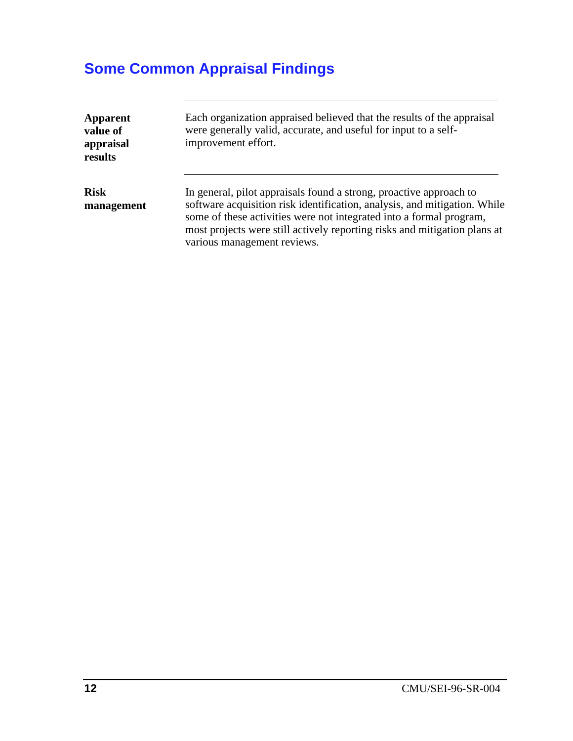# **Some Common Appraisal Findings**

| <b>Apparent</b><br>value of<br>appraisal<br>results | Each organization appraised believed that the results of the appraisal<br>were generally valid, accurate, and useful for input to a self-<br>improvement effort.                                                                                                                                                                   |
|-----------------------------------------------------|------------------------------------------------------------------------------------------------------------------------------------------------------------------------------------------------------------------------------------------------------------------------------------------------------------------------------------|
| <b>Risk</b><br>management                           | In general, pilot appraisals found a strong, proactive approach to<br>software acquisition risk identification, analysis, and mitigation. While<br>some of these activities were not integrated into a formal program,<br>most projects were still actively reporting risks and mitigation plans at<br>various management reviews. |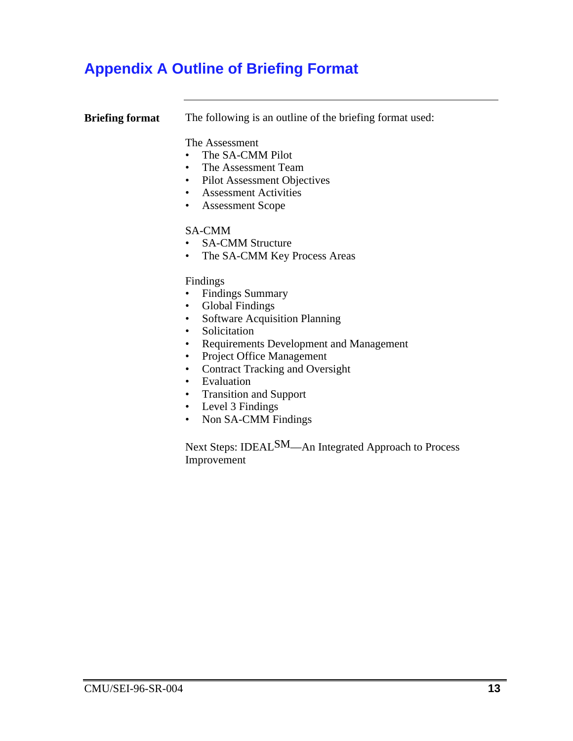# **Appendix A Outline of Briefing Format**

| <b>Briefing format</b><br>The following is an outline of the briefing format used:<br>The Assessment<br>The SA-CMM Pilot<br>• The Assessment Team<br>• Pilot Assessment Objectives<br>• Assessment Activities<br>• Assessment Scope<br><b>SA-CMM</b><br>• SA-CMM Structure<br>• The SA-CMM Key Process Areas<br>Findings<br><b>Findings Summary</b><br>• Global Findings<br>• Software Acquisition Planning<br>• Solicitation<br>• Requirements Development and Management<br>• Project Office Management<br>• Contract Tracking and Oversight<br>Evaluation<br>$\bullet$<br>• Transition and Support<br>• Level 3 Findings<br>• Non SA-CMM Findings<br>Improvement |                                                                    |
|---------------------------------------------------------------------------------------------------------------------------------------------------------------------------------------------------------------------------------------------------------------------------------------------------------------------------------------------------------------------------------------------------------------------------------------------------------------------------------------------------------------------------------------------------------------------------------------------------------------------------------------------------------------------|--------------------------------------------------------------------|
|                                                                                                                                                                                                                                                                                                                                                                                                                                                                                                                                                                                                                                                                     |                                                                    |
|                                                                                                                                                                                                                                                                                                                                                                                                                                                                                                                                                                                                                                                                     |                                                                    |
|                                                                                                                                                                                                                                                                                                                                                                                                                                                                                                                                                                                                                                                                     |                                                                    |
|                                                                                                                                                                                                                                                                                                                                                                                                                                                                                                                                                                                                                                                                     | Next Steps: IDEAL <sup>SM</sup> —An Integrated Approach to Process |
|                                                                                                                                                                                                                                                                                                                                                                                                                                                                                                                                                                                                                                                                     |                                                                    |